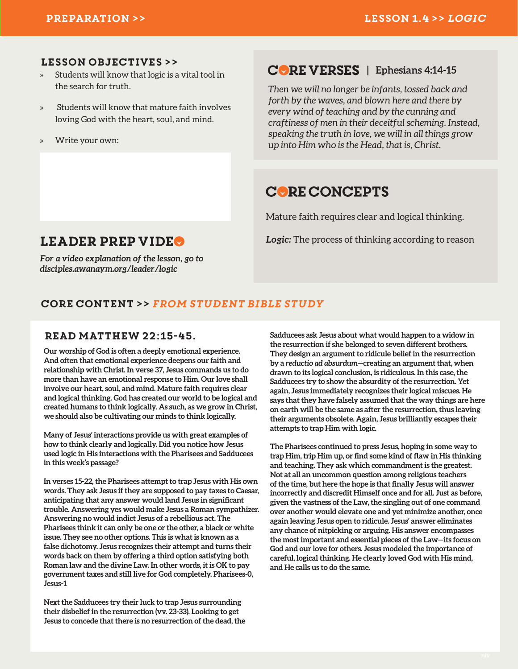## Lesson Objectives >>

- » Students will know that logic is a vital tool in the search for truth.
- » Students will know that mature faith involves loving God with the heart, soul, and mind.
- » Write your own:

# **| Ephesians 4:14-15**

*Then we will no longer be infants, tossed back and forth by the waves, and blown here and there by every wind of teaching and by the cunning and craftiness of men in their deceitful scheming. Instead, speaking the truth in love, we will in all things grow up into Him who is the Head, that is, Christ.* 

# **CORE CONCEPTS**

Mature faith requires clear and logical thinking.

*Logic:* The process of thinking according to reason

# **LEADER PREP VIDEO**

*For a video explanation of the lesson, go to disciples.awanaym.org/leader/logic*

# core content >>From student bible study

## Read Matthew 22:15-45.

**Our worship of God is often a deeply emotional experience. And often that emotional experience deepens our faith and relationship with Christ. In verse 37, Jesus commands us to do more than have an emotional response to Him. Our love shall involve our heart, soul, and mind. Mature faith requires clear and logical thinking. God has created our world to be logical and created humans to think logically. As such, as we grow in Christ, we should also be cultivating our minds to think logically.** 

**Many of Jesus' interactions provide us with great examples of how to think clearly and logically. Did you notice how Jesus used logic in His interactions with the Pharisees and Sadducees in this week's passage?** 

**In verses 15-22, the Pharisees attempt to trap Jesus with His own words. They ask Jesus if they are supposed to pay taxes to Caesar, anticipating that any answer would land Jesus in significant trouble. Answering yes would make Jesus a Roman sympathizer. Answering no would indict Jesus of a rebellious act. The Pharisees think it can only be one or the other, a black or white issue. They see no other options. This is what is known as a false dichotomy. Jesus recognizes their attempt and turns their words back on them by offering a third option satisfying both Roman law and the divine Law. In other words, it is OK to pay government taxes and still live for God completely. Pharisees-0, Jesus-1**

**Next the Sadducees try their luck to trap Jesus surrounding their disbelief in the resurrection (vv. 23-33). Looking to get Jesus to concede that there is no resurrection of the dead, the**  **Sadducees ask Jesus about what would happen to a widow in the resurrection if she belonged to seven different brothers. They design an argument to ridicule belief in the resurrection by a** *reductio ad absurdum***—creating an argument that, when drawn to its logical conclusion, is ridiculous. In this case, the Sadducees try to show the absurdity of the resurrection. Yet again, Jesus immediately recognizes their logical miscues. He says that they have falsely assumed that the way things are here on earth will be the same as after the resurrection, thus leaving their arguments obsolete. Again, Jesus brilliantly escapes their attempts to trap Him with logic.**

**The Pharisees continued to press Jesus, hoping in some way to trap Him, trip Him up, or find some kind of flaw in His thinking and teaching. They ask which commandment is the greatest. Not at all an uncommon question among religious teachers of the time, but here the hope is that finally Jesus will answer incorrectly and discredit Himself once and for all. Just as before, given the vastness of the Law, the singling out of one command over another would elevate one and yet minimize another, once again leaving Jesus open to ridicule. Jesus' answer eliminates any chance of nitpicking or arguing. His answer encompasses the most important and essential pieces of the Law—its focus on God and our love for others. Jesus modeled the importance of careful, logical thinking. He clearly loved God with His mind, and He calls us to do the same.**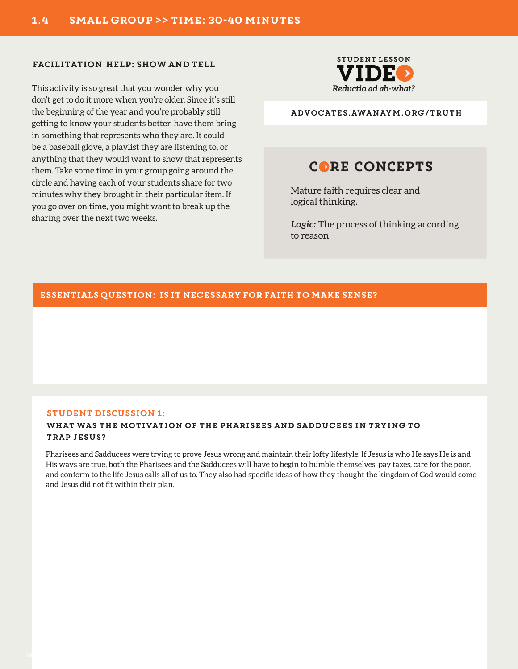## FACILITATION HELP: SHOW AND TELL

This activity is so great that you wonder why you don't get to do it more when you're older. Since it's still the beginning of the year and you're probably still getting to know your students better, have them bring in something that represents who they are. It could be a baseball glove, a playlist they are listening to, or anything that they would want to show that represents them. Take some time in your group going around the circle and having each of your students share for two minutes why they brought in their particular item. If you go over on time, you might want to break up the sharing over the next two weeks.



Advocates.awanaym.org/TRUTH

# CORE CONCEPTS

Mature faith requires clear and logical thinking.

*Logic:* The process of thinking according to reason

## ESSENTIALS QUESTION: Is it necessary for faith to make sense?

#### STUDENT DISCUSSION 1:

## What was the motivation of the Pharisees and Sadducees in trying to trap Jesus?

Pharisees and Sadducees were trying to prove Jesus wrong and maintain their lofty lifestyle. If Jesus is who He says He is and His ways are true, both the Pharisees and the Sadducees will have to begin to humble themselves, pay taxes, care for the poor, and conform to the life Jesus calls all of us to. They also had specific ideas of how they thought the kingdom of God would come and Jesus did not fit within their plan.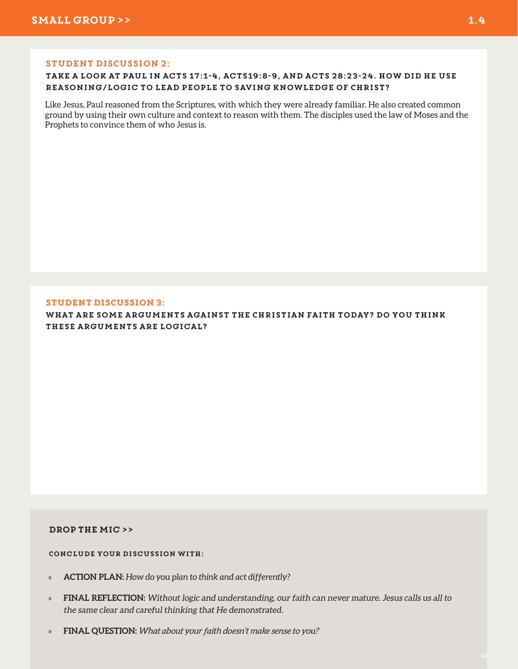## STUDENT DISCUSSION 2:

## Take a look at Paul in Acts 17:1-4, Acts19:8-9, and Acts 28:23-24. How did he use reasoning/logic to lead people to saving knowledge of Christ?

Like Jesus, Paul reasoned from the Scriptures, with which they were already familiar. He also created common ground by using their own culture and context to reason with them. The disciples used the law of Moses and the Prophets to convince them of who Jesus is.

#### STUDENT DISCUSSION 3:

What are some arguments against the Christian faith today? Do you think these arguments are logical?

## Drop The Mic >>

Conclude your discussion with:

- » **ACTION PLAN:** *How do you plan to think and act differently?*
- » **FINAL REFLECTION:** Without logic and understanding, our faith can never mature. Jesus calls us all to the same clear and careful thinking that He demonstrated.
- » **FINAL QUESTION:** *What about your faith doesn't make sense to you?*